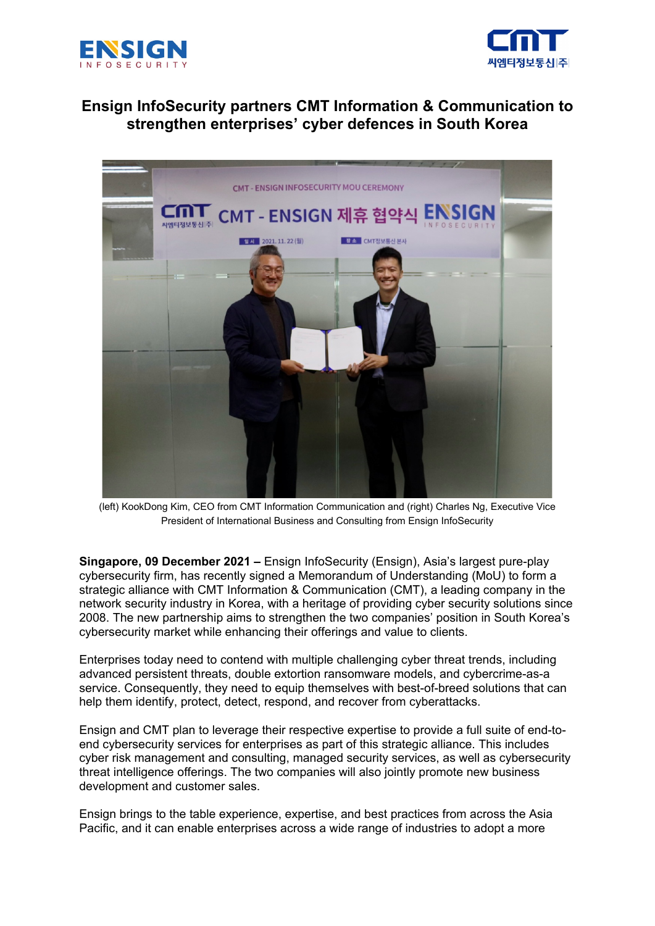



# **Ensign InfoSecurity partners CMT Information & Communication to strengthen enterprises' cyber defences in South Korea**



(left) KookDong Kim, CEO from CMT Information Communication and (right) Charles Ng, Executive Vice President of International Business and Consulting from Ensign InfoSecurity

**Singapore, 09 December 2021 –** Ensign InfoSecurity (Ensign), Asia's largest pure-play cybersecurity firm, has recently signed a Memorandum of Understanding (MoU) to form a strategic alliance with CMT Information & Communication (CMT), a leading company in the network security industry in Korea, with a heritage of providing cyber security solutions since 2008. The new partnership aims to strengthen the two companies' position in South Korea's cybersecurity market while enhancing their offerings and value to clients.

Enterprises today need to contend with multiple challenging cyber threat trends, including advanced persistent threats, double extortion ransomware models, and cybercrime-as-a service. Consequently, they need to equip themselves with best-of-breed solutions that can help them identify, protect, detect, respond, and recover from cyberattacks.

Ensign and CMT plan to leverage their respective expertise to provide a full suite of end-toend cybersecurity services for enterprises as part of this strategic alliance. This includes cyber risk management and consulting, managed security services, as well as cybersecurity threat intelligence offerings. The two companies will also jointly promote new business development and customer sales.

Ensign brings to the table experience, expertise, and best practices from across the Asia Pacific, and it can enable enterprises across a wide range of industries to adopt a more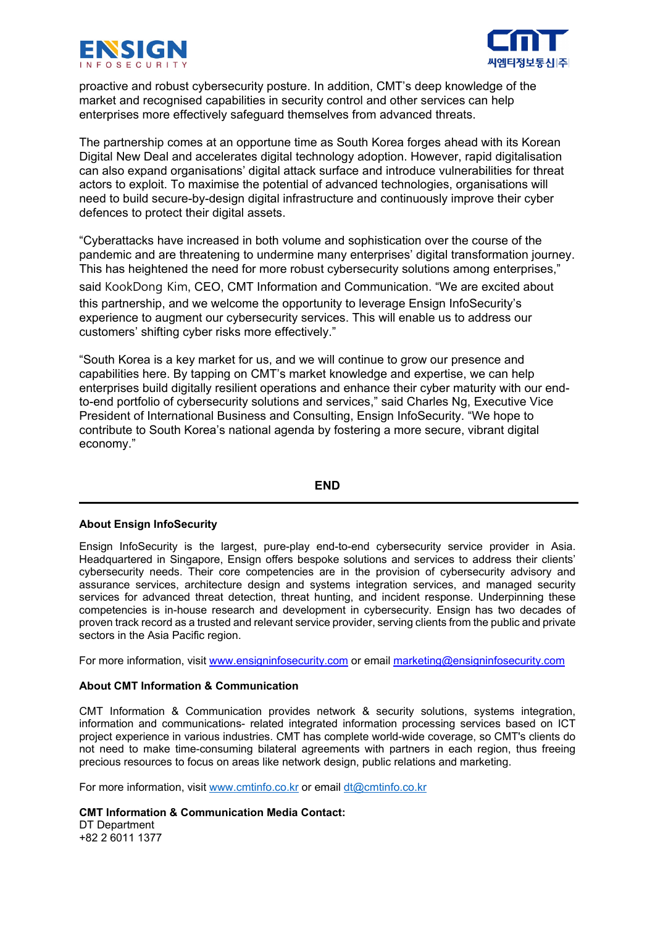



proactive and robust cybersecurity posture. In addition, CMT's deep knowledge of the market and recognised capabilities in security control and other services can help enterprises more effectively safeguard themselves from advanced threats.

The partnership comes at an opportune time as South Korea forges ahead with its Korean Digital New Deal and accelerates digital technology adoption. However, rapid digitalisation can also expand organisations' digital attack surface and introduce vulnerabilities for threat actors to exploit. To maximise the potential of advanced technologies, organisations will need to build secure-by-design digital infrastructure and continuously improve their cyber defences to protect their digital assets.

"Cyberattacks have increased in both volume and sophistication over the course of the pandemic and are threatening to undermine many enterprises' digital transformation journey. This has heightened the need for more robust cybersecurity solutions among enterprises," said KookDong Kim, CEO, CMT Information and Communication. "We are excited about

this partnership, and we welcome the opportunity to leverage Ensign InfoSecurity's experience to augment our cybersecurity services. This will enable us to address our customers' shifting cyber risks more effectively."

"South Korea is a key market for us, and we will continue to grow our presence and capabilities here. By tapping on CMT's market knowledge and expertise, we can help enterprises build digitally resilient operations and enhance their cyber maturity with our endto-end portfolio of cybersecurity solutions and services," said Charles Ng, Executive Vice President of International Business and Consulting, Ensign InfoSecurity. "We hope to contribute to South Korea's national agenda by fostering a more secure, vibrant digital economy."

### **END**

### **About Ensign InfoSecurity**

Ensign InfoSecurity is the largest, pure-play end-to-end cybersecurity service provider in Asia. Headquartered in Singapore, Ensign offers bespoke solutions and services to address their clients' cybersecurity needs. Their core competencies are in the provision of cybersecurity advisory and assurance services, architecture design and systems integration services, and managed security services for advanced threat detection, threat hunting, and incident response. Underpinning these competencies is in-house research and development in cybersecurity. Ensign has two decades of proven track record as a trusted and relevant service provider, serving clients from the public and private sectors in the Asia Pacific region.

For more information, visit [www.ensigninfosecurity.com](http://www.ensigninfosecurity.com/) or email [marketing@ensigninfosecurity.com](mailto:marketing@ensigninfosecurity.com)

### **About CMT Information & Communication**

CMT Information & Communication provides network & security solutions, systems integration, information and communications- related integrated information processing services based on ICT project experience in various industries. CMT has complete world-wide coverage, so CMT's clients do not need to make time-consuming bilateral agreements with partners in each region, thus freeing precious resources to focus on areas like network design, public relations and marketing.

For more information, visit [www.cmtinfo.co.kr](http://www.cmtinfo.co.kr/) or email [dt@cmtinfo.co.kr](mailto:dt@cmtinfo.co.kr)

**CMT Information & Communication Media Contact:**  DT Department +82 2 6011 1377